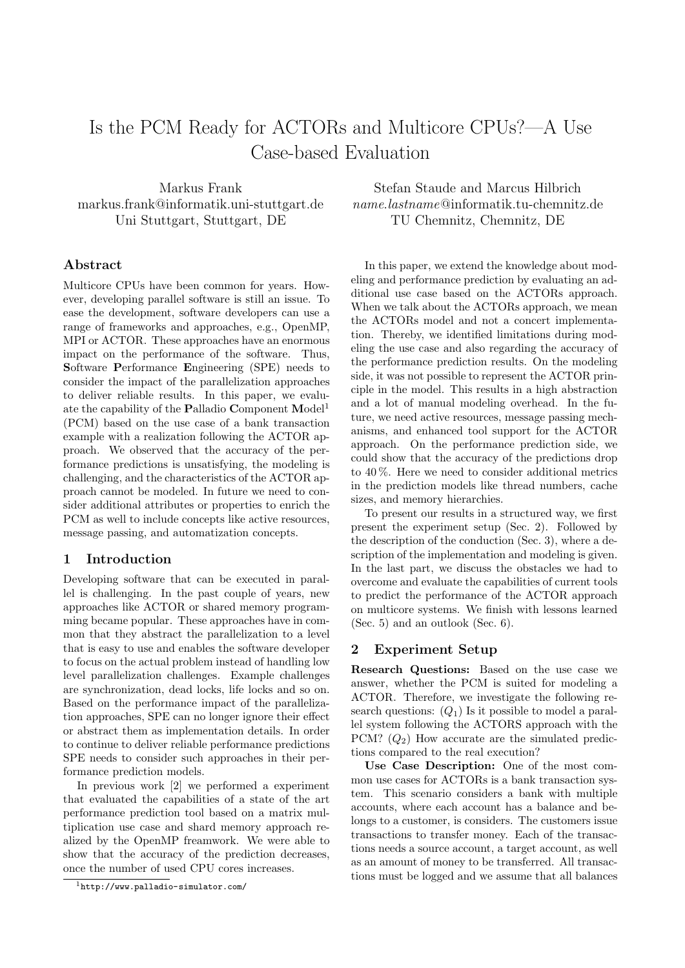# Is the PCM Ready for ACTORs and Multicore CPUs?—A Use Case-based Evaluation

Markus Frank markus.frank@informatik.uni-stuttgart.de Uni Stuttgart, Stuttgart, DE

# Abstract

Multicore CPUs have been common for years. However, developing parallel software is still an issue. To ease the development, software developers can use a range of frameworks and approaches, e.g., OpenMP, MPI or ACTOR. These approaches have an enormous impact on the performance of the software. Thus, Software Performance Engineering (SPE) needs to consider the impact of the parallelization approaches to deliver reliable results. In this paper, we evalu-ate the capability of the Palladio Component Model<sup>[1](#page-0-0)</sup> (PCM) based on the use case of a bank transaction example with a realization following the ACTOR approach. We observed that the accuracy of the performance predictions is unsatisfying, the modeling is challenging, and the characteristics of the ACTOR approach cannot be modeled. In future we need to consider additional attributes or properties to enrich the PCM as well to include concepts like active resources, message passing, and automatization concepts.

#### 1 Introduction

Developing software that can be executed in parallel is challenging. In the past couple of years, new approaches like ACTOR or shared memory programming became popular. These approaches have in common that they abstract the parallelization to a level that is easy to use and enables the software developer to focus on the actual problem instead of handling low level parallelization challenges. Example challenges are synchronization, dead locks, life locks and so on. Based on the performance impact of the parallelization approaches, SPE can no longer ignore their effect or abstract them as implementation details. In order to continue to deliver reliable performance predictions SPE needs to consider such approaches in their performance prediction models.

In previous work [\[2\]](#page-2-0) we performed a experiment that evaluated the capabilities of a state of the art performance prediction tool based on a matrix multiplication use case and shard memory approach realized by the OpenMP freamwork. We were able to show that the accuracy of the prediction decreases, once the number of used CPU cores increases.

Stefan Staude and Marcus Hilbrich name.lastname@informatik.tu-chemnitz.de TU Chemnitz, Chemnitz, DE

In this paper, we extend the knowledge about modeling and performance prediction by evaluating an additional use case based on the ACTORs approach. When we talk about the ACTORs approach, we mean the ACTORs model and not a concert implementation. Thereby, we identified limitations during modeling the use case and also regarding the accuracy of the performance prediction results. On the modeling side, it was not possible to represent the ACTOR principle in the model. This results in a high abstraction and a lot of manual modeling overhead. In the future, we need active resources, message passing mechanisms, and enhanced tool support for the ACTOR approach. On the performance prediction side, we could show that the accuracy of the predictions drop to 40 %. Here we need to consider additional metrics in the prediction models like thread numbers, cache sizes, and memory hierarchies.

To present our results in a structured way, we first present the experiment setup (Sec. [2\)](#page-0-1). Followed by the description of the conduction (Sec. [3\)](#page-1-0), where a description of the implementation and modeling is given. In the last part, we discuss the obstacles we had to overcome and evaluate the capabilities of current tools to predict the performance of the ACTOR approach on multicore systems. We finish with lessons learned (Sec. [5\)](#page-2-1) and an outlook (Sec. [6\)](#page-2-2).

#### <span id="page-0-1"></span>2 Experiment Setup

Research Questions: Based on the use case we answer, whether the PCM is suited for modeling a ACTOR. Therefore, we investigate the following research questions:  $(Q_1)$  Is it possible to model a parallel system following the ACTORS approach with the PCM?  $(Q_2)$  How accurate are the simulated predictions compared to the real execution?

Use Case Description: One of the most common use cases for ACTORs is a bank transaction system. This scenario considers a bank with multiple accounts, where each account has a balance and belongs to a customer, is considers. The customers issue transactions to transfer money. Each of the transactions needs a source account, a target account, as well as an amount of money to be transferred. All transactions must be logged and we assume that all balances

<span id="page-0-0"></span> $1$ <http://www.palladio-simulator.com/>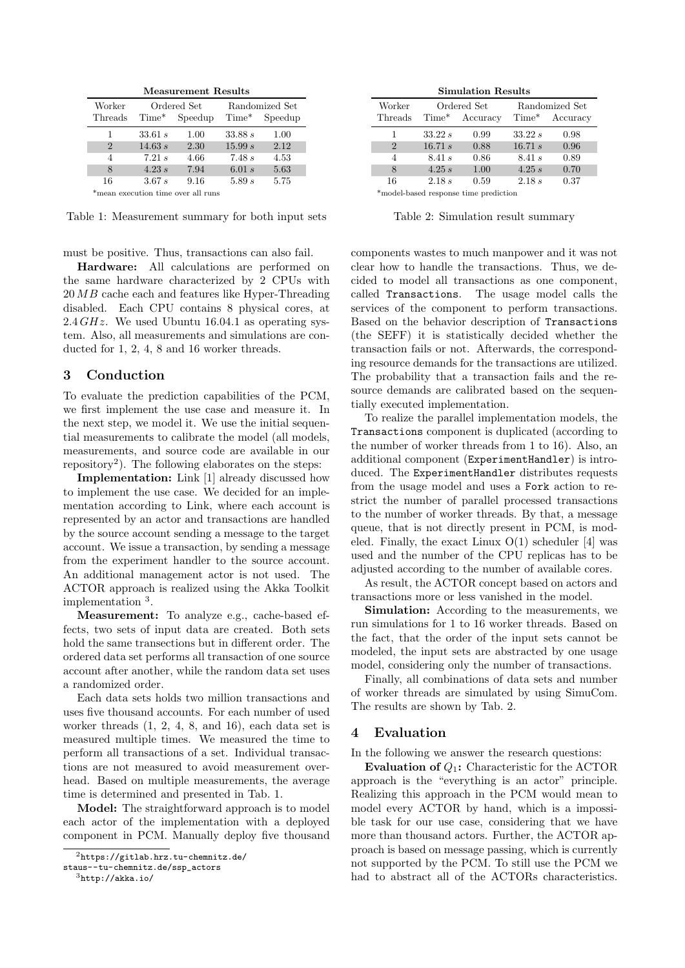Measurement Results

| Worker                             | Ordered Set |         | Randomized Set |         |  |  |
|------------------------------------|-------------|---------|----------------|---------|--|--|
| Threads                            | $Time*$     | Speedup | $Time*$        | Speedup |  |  |
| 1                                  | 33.61 s     | 1.00    | 33.88 s        | 1.00    |  |  |
| $\mathcal{D}_{\cdot}$              | 14.63 s     | 2.30    | 15.99 s        | 2.12    |  |  |
| 4                                  | 7.21 s      | 4.66    | 7.48 s         | 4.53    |  |  |
| 8                                  | 4.23 s      | 7.94    | 6.01 s         | 5.63    |  |  |
| 16                                 | 3.67s       | 9.16    | 5.89 s         | 5.75    |  |  |
| *mean execution time over all runs |             |         |                |         |  |  |

<span id="page-1-3"></span>Table 1: Measurement summary for both input sets

must be positive. Thus, transactions can also fail.

Hardware: All calculations are performed on the same hardware characterized by 2 CPUs with 20 MB cache each and features like Hyper-Threading disabled. Each CPU contains 8 physical cores, at 2.4  $GHz$ . We used Ubuntu 16.04.1 as operating system. Also, all measurements and simulations are conducted for 1, 2, 4, 8 and 16 worker threads.

## <span id="page-1-0"></span>3 Conduction

To evaluate the prediction capabilities of the PCM, we first implement the use case and measure it. In the next step, we model it. We use the initial sequential measurements to calibrate the model (all models, measurements, and source code are available in our repository[2](#page-1-1) ). The following elaborates on the steps:

Implementation: Link [\[1\]](#page-2-3) already discussed how to implement the use case. We decided for an implementation according to Link, where each account is represented by an actor and transactions are handled by the source account sending a message to the target account. We issue a transaction, by sending a message from the experiment handler to the source account. An additional management actor is not used. The ACTOR approach is realized using the Akka Toolkit implementation [3](#page-1-2) .

Measurement: To analyze e.g., cache-based effects, two sets of input data are created. Both sets hold the same transections but in different order. The ordered data set performs all transaction of one source account after another, while the random data set uses a randomized order.

Each data sets holds two million transactions and uses five thousand accounts. For each number of used worker threads (1, 2, 4, 8, and 16), each data set is measured multiple times. We measured the time to perform all transactions of a set. Individual transactions are not measured to avoid measurement overhead. Based on multiple measurements, the average time is determined and presented in Tab. [1.](#page-1-3)

Model: The straightforward approach is to model each actor of the implementation with a deployed component in PCM. Manually deploy five thousand

Simulation Results

| Worker<br>Threads | $Time*$ | Ordered Set<br>Accuracy | $Time*$ | Randomized Set<br>Accuracy |  |  |
|-------------------|---------|-------------------------|---------|----------------------------|--|--|
|                   | 33.22 s | 0.99                    | 33.22 s | 0.98                       |  |  |
| $\overline{2}$    | 16.71 s | 0.88                    | 16.71 s | 0.96                       |  |  |
| 4                 | 8.41 s  | 0.86                    | 8.41 s  | 0.89                       |  |  |
| 8                 | 4.25 s  | 1.00                    | 4.25 s  | 0.70                       |  |  |
| 16                | 2.18 s  | 0.59                    | 2.18 s  | 0.37                       |  |  |

\*model-based response time prediction

<span id="page-1-4"></span>Table 2: Simulation result summary

components wastes to much manpower and it was not clear how to handle the transactions. Thus, we decided to model all transactions as one component, called Transactions. The usage model calls the services of the component to perform transactions. Based on the behavior description of Transactions (the SEFF) it is statistically decided whether the transaction fails or not. Afterwards, the corresponding resource demands for the transactions are utilized. The probability that a transaction fails and the resource demands are calibrated based on the sequentially executed implementation.

To realize the parallel implementation models, the Transactions component is duplicated (according to the number of worker threads from 1 to 16). Also, an additional component (ExperimentHandler) is introduced. The ExperimentHandler distributes requests from the usage model and uses a Fork action to restrict the number of parallel processed transactions to the number of worker threads. By that, a message queue, that is not directly present in PCM, is modeled. Finally, the exact Linux  $O(1)$  scheduler [\[4\]](#page-2-4) was used and the number of the CPU replicas has to be adjusted according to the number of available cores.

As result, the ACTOR concept based on actors and transactions more or less vanished in the model.

Simulation: According to the measurements, we run simulations for 1 to 16 worker threads. Based on the fact, that the order of the input sets cannot be modeled, the input sets are abstracted by one usage model, considering only the number of transactions.

Finally, all combinations of data sets and number of worker threads are simulated by using SimuCom. The results are shown by Tab. [2.](#page-1-4)

#### 4 Evaluation

In the following we answer the research questions:

**Evaluation of**  $Q_1$ **:** Characteristic for the ACTOR approach is the "everything is an actor" principle. Realizing this approach in the PCM would mean to model every ACTOR by hand, which is a impossible task for our use case, considering that we have more than thousand actors. Further, the ACTOR approach is based on message passing, which is currently not supported by the PCM. To still use the PCM we had to abstract all of the ACTORs characteristics.

<span id="page-1-1"></span><sup>2</sup>[https://gitlab.hrz.tu-chemnitz.de/](https://gitlab.hrz.tu-chemnitz.de/staus--tu-chemnitz.de/ssp_actors)

[staus--tu-chemnitz.de/ssp\\_actors](https://gitlab.hrz.tu-chemnitz.de/staus--tu-chemnitz.de/ssp_actors)

<span id="page-1-2"></span> $3$ <http://akka.io/>